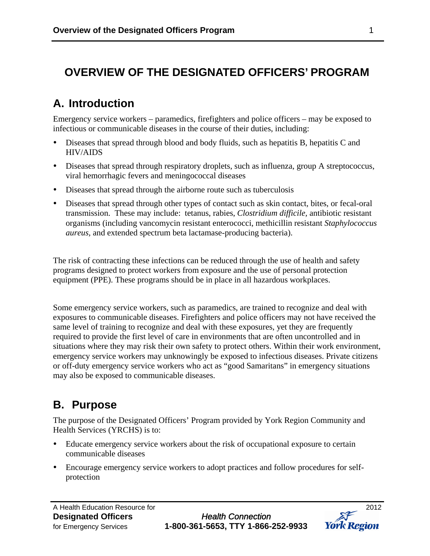## **OVERVIEW OF THE DESIGNATED OFFICERS' PROGRAM**

# **A. Introduction**

Emergency service workers – paramedics, firefighters and police officers – may be exposed to infectious or communicable diseases in the course of their duties, including:

- Diseases that spread through blood and body fluids, such as hepatitis B, hepatitis C and HIV/AIDS
- Diseases that spread through respiratory droplets, such as influenza, group A streptococcus, viral hemorrhagic fevers and meningococcal diseases
- Diseases that spread through the airborne route such as tuberculosis
- Diseases that spread through other types of contact such as skin contact, bites, or fecal-oral transmission. These may include: tetanus, rabies, *Clostridium difficile,* antibiotic resistant organisms (including vancomycin resistant enterococci, methicillin resistant *Staphylococcus aureus,* and extended spectrum beta lactamase-producing bacteria).

The risk of contracting these infections can be reduced through the use of health and safety programs designed to protect workers from exposure and the use of personal protection equipment (PPE). These programs should be in place in all hazardous workplaces.

Some emergency service workers, such as paramedics, are trained to recognize and deal with exposures to communicable diseases. Firefighters and police officers may not have received the same level of training to recognize and deal with these exposures, yet they are frequently required to provide the first level of care in environments that are often uncontrolled and in situations where they may risk their own safety to protect others. Within their work environment, emergency service workers may unknowingly be exposed to infectious diseases. Private citizens or off-duty emergency service workers who act as "good Samaritans" in emergency situations may also be exposed to communicable diseases.

## **B. Purpose**

The purpose of the Designated Officers' Program provided by York Region Community and Health Services (YRCHS) is to:

- Educate emergency service workers about the risk of occupational exposure to certain communicable diseases
- Encourage emergency service workers to adopt practices and follow procedures for selfprotection

**Designated Officers** *Health Connection* for Emergency Services **1-800-361-5653, TTY 1-866-252-9933**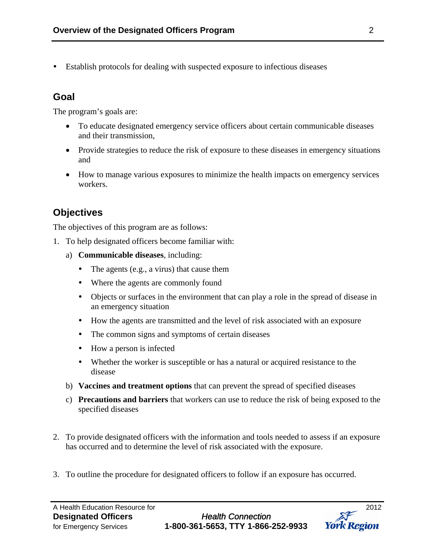Establish protocols for dealing with suspected exposure to infectious diseases

#### **Goal**

The program's goals are:

- To educate designated emergency service officers about certain communicable diseases and their transmission,
- Provide strategies to reduce the risk of exposure to these diseases in emergency situations and
- How to manage various exposures to minimize the health impacts on emergency services workers.

### **Objectives**

The objectives of this program are as follows:

- 1. To help designated officers become familiar with:
	- a) **Communicable diseases**, including:
		- The agents (e.g., a virus) that cause them
		- Where the agents are commonly found
		- Objects or surfaces in the environment that can play a role in the spread of disease in an emergency situation
		- How the agents are transmitted and the level of risk associated with an exposure
		- The common signs and symptoms of certain diseases
		- How a person is infected
		- Whether the worker is susceptible or has a natural or acquired resistance to the disease
	- b) **Vaccines and treatment options** that can prevent the spread of specified diseases
	- c) **Precautions and barriers** that workers can use to reduce the risk of being exposed to the specified diseases
- 2. To provide designated officers with the information and tools needed to assess if an exposure has occurred and to determine the level of risk associated with the exposure.
- 3. To outline the procedure for designated officers to follow if an exposure has occurred.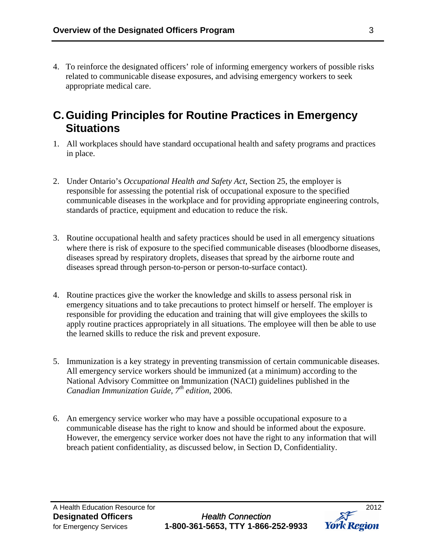4. To reinforce the designated officers' role of informing emergency workers of possible risks related to communicable disease exposures, and advising emergency workers to seek appropriate medical care.

### **C.Guiding Principles for Routine Practices in Emergency Situations**

- 1. All workplaces should have standard occupational health and safety programs and practices in place.
- 2. Under Ontario's *Occupational Health and Safety Act*, Section 25, the employer is responsible for assessing the potential risk of occupational exposure to the specified communicable diseases in the workplace and for providing appropriate engineering controls, standards of practice, equipment and education to reduce the risk.
- 3. Routine occupational health and safety practices should be used in all emergency situations where there is risk of exposure to the specified communicable diseases (bloodborne diseases, diseases spread by respiratory droplets, diseases that spread by the airborne route and diseases spread through person-to-person or person-to-surface contact).
- 4. Routine practices give the worker the knowledge and skills to assess personal risk in emergency situations and to take precautions to protect himself or herself. The employer is responsible for providing the education and training that will give employees the skills to apply routine practices appropriately in all situations. The employee will then be able to use the learned skills to reduce the risk and prevent exposure.
- 5. Immunization is a key strategy in preventing transmission of certain communicable diseases. All emergency service workers should be immunized (at a minimum) according to the National Advisory Committee on Immunization (NACI) guidelines published in the *Canadian Immunization Guide, 7th edition*, 2006.
- 6. An emergency service worker who may have a possible occupational exposure to a communicable disease has the right to know and should be informed about the exposure. However, the emergency service worker does not have the right to any information that will breach patient confidentiality, as discussed below, in Section D, Confidentiality.

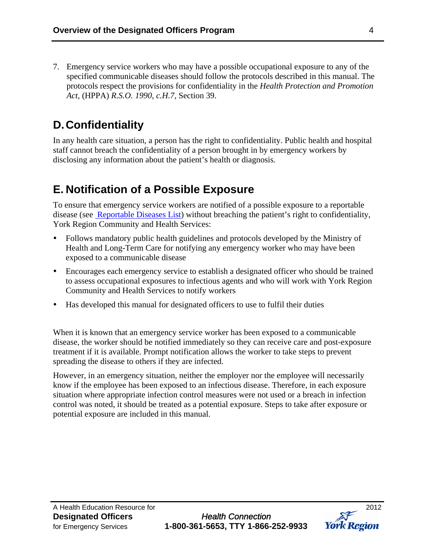7. Emergency service workers who may have a possible occupational exposure to any of the specified communicable diseases should follow the protocols described in this manual. The protocols respect the provisions for confidentiality in the *Health Protection and Promotion Act,* (HPPA) *R.S.O. 1990, c.H.7,* Section 39.

# **D.Confidentiality**

In any health care situation, a person has the right to confidentiality. Public health and hospital staff cannot breach the confidentiality of a person brought in by emergency workers by disclosing any information about the patient's health or diagnosis.

## **E. Notification of a Possible Exposure**

To ensure that emergency service workers are notified of a possible exposure to a reportable disease (see [Reportable Diseases List\)](http://www.york.ca/Services/Public+Health+and+Safety/Infectious+Diseases/DOP-Reportable+Diseases+List.htm) without breaching the patient's right to confidentiality, York Region Community and Health Services:

- Follows mandatory public health guidelines and protocols developed by the Ministry of Health and Long-Term Care for notifying any emergency worker who may have been exposed to a communicable disease
- Encourages each emergency service to establish a designated officer who should be trained to assess occupational exposures to infectious agents and who will work with York Region Community and Health Services to notify workers
- Has developed this manual for designated officers to use to fulfil their duties

When it is known that an emergency service worker has been exposed to a communicable disease, the worker should be notified immediately so they can receive care and post-exposure treatment if it is available. Prompt notification allows the worker to take steps to prevent spreading the disease to others if they are infected.

However, in an emergency situation, neither the employer nor the employee will necessarily know if the employee has been exposed to an infectious disease. Therefore, in each exposure situation where appropriate infection control measures were not used or a breach in infection control was noted, it should be treated as a potential exposure. Steps to take after exposure or potential exposure are included in this manual.

**Designated Officers** *Health Connection* for Emergency Services **1-800-361-5653, TTY 1-866-252-9933** 

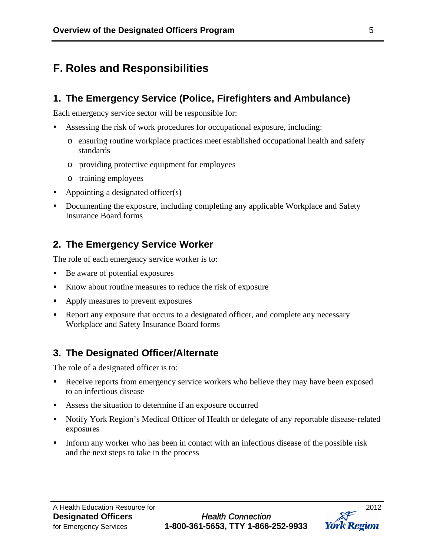### **F. Roles and Responsibilities**

#### **1. The Emergency Service (Police, Firefighters and Ambulance)**

Each emergency service sector will be responsible for:

- Assessing the risk of work procedures for occupational exposure, including:
	- o ensuring routine workplace practices meet established occupational health and safety standards
	- o providing protective equipment for employees
	- o training employees
- Appointing a designated officer(s)
- Documenting the exposure, including completing any applicable Workplace and Safety Insurance Board forms

### **2. The Emergency Service Worker**

The role of each emergency service worker is to:

- Be aware of potential exposures
- Know about routine measures to reduce the risk of exposure
- Apply measures to prevent exposures
- Report any exposure that occurs to a designated officer, and complete any necessary Workplace and Safety Insurance Board forms

#### **3. The Designated Officer/Alternate**

The role of a designated officer is to:

- Receive reports from emergency service workers who believe they may have been exposed to an infectious disease
- Assess the situation to determine if an exposure occurred
- Notify York Region's Medical Officer of Health or delegate of any reportable disease-related exposures
- Inform any worker who has been in contact with an infectious disease of the possible risk and the next steps to take in the process

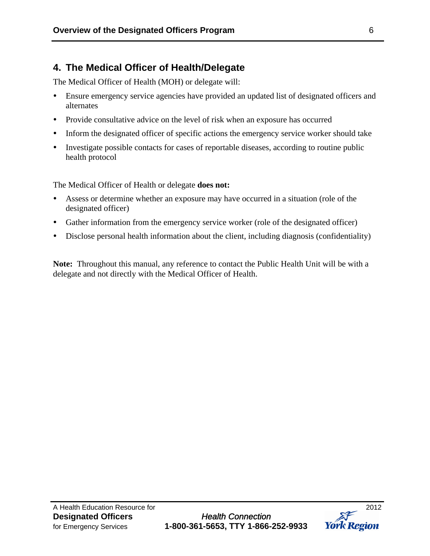### **4. The Medical Officer of Health/Delegate**

The Medical Officer of Health (MOH) or delegate will:

- Ensure emergency service agencies have provided an updated list of designated officers and alternates
- Provide consultative advice on the level of risk when an exposure has occurred
- Inform the designated officer of specific actions the emergency service worker should take
- Investigate possible contacts for cases of reportable diseases, according to routine public health protocol

The Medical Officer of Health or delegate **does not:**

- Assess or determine whether an exposure may have occurred in a situation (role of the designated officer)
- Gather information from the emergency service worker (role of the designated officer)
- Disclose personal health information about the client, including diagnosis (confidentiality)

**Note:** Throughout this manual, any reference to contact the Public Health Unit will be with a delegate and not directly with the Medical Officer of Health.

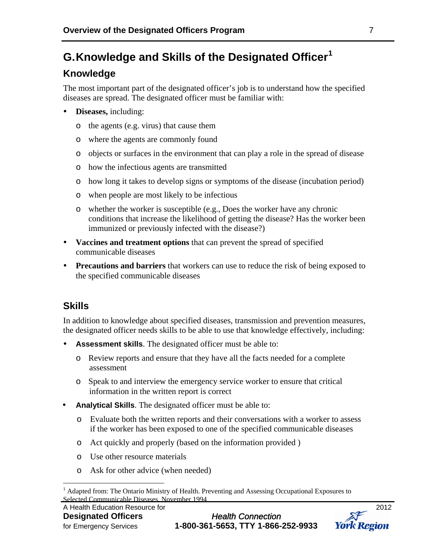## **G.Knowledge and Skills of the Designated Officer[1](#page-6-0)**

### **Knowledge**

The most important part of the designated officer's job is to understand how the specified diseases are spread. The designated officer must be familiar with:

- **Diseases,** including:
	- o the agents (e.g. virus) that cause them
	- o where the agents are commonly found
	- o objects or surfaces in the environment that can play a role in the spread of disease
	- o how the infectious agents are transmitted
	- o how long it takes to develop signs or symptoms of the disease (incubation period)
	- o when people are most likely to be infectious
	- o whether the worker is susceptible (e.g., Does the worker have any chronic conditions that increase the likelihood of getting the disease? Has the worker been immunized or previously infected with the disease?)
- **Vaccines and treatment options** that can prevent the spread of specified communicable diseases
- **Precautions and barriers** that workers can use to reduce the risk of being exposed to the specified communicable diseases

### **Skills**

In addition to knowledge about specified diseases, transmission and prevention measures, the designated officer needs skills to be able to use that knowledge effectively, including:

- **Assessment skills**. The designated officer must be able to:
	- o Review reports and ensure that they have all the facts needed for a complete assessment
	- o Speak to and interview the emergency service worker to ensure that critical information in the written report is correct
- **Analytical Skills**. The designated officer must be able to:
	- o Evaluate both the written reports and their conversations with a worker to assess if the worker has been exposed to one of the specified communicable diseases
	- o Act quickly and properly (based on the information provided )
	- o Use other resource materials
	- o Ask for other advice (when needed)



<span id="page-6-0"></span> $\overline{a}$ <sup>1</sup> Adapted from: The Ontario Ministry of Health. Preventing and Assessing Occupational Exposures to Selected Communicable Diseases. November 1994